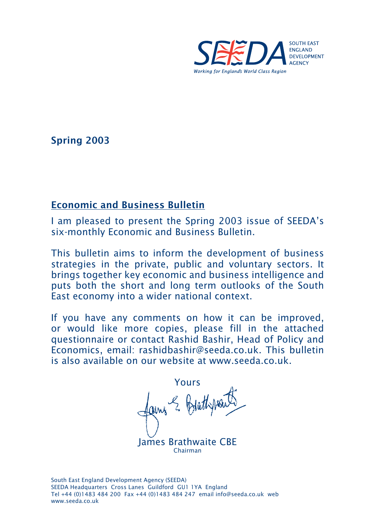

Spring 2003

## Economic and Business Bulletin

I am pleased to present the Spring 2003 issue of SEEDA's six-monthly Economic and Business Bulletin.

This bulletin aims to inform the development of business strategies in the private, public and voluntary sectors. It brings together key economic and business intelligence and puts both the short and long term outlooks of the South East economy into a wider national context.

If you have any comments on how it can be improved, or would like more copies, please fill in the attached questionnaire or contact Rashid Bashir, Head of Policy and Economics, email: rashidbashir@seeda.co.uk. This bulletin is also available on our website at www.seeda.co.uk.

Yours E Brathpoi

James Brathwaite CBE Chairman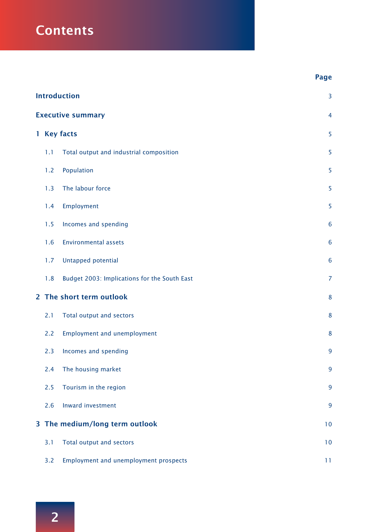# **Contents**

|                                | <b>Introduction</b>      |                                              |                 |  |
|--------------------------------|--------------------------|----------------------------------------------|-----------------|--|
|                                | <b>Executive summary</b> |                                              |                 |  |
|                                |                          | 1 Key facts                                  | 5               |  |
|                                | 1.1                      | Total output and industrial composition      | 5               |  |
|                                | 1.2                      | Population                                   | 5               |  |
|                                | 1.3                      | The labour force                             | 5               |  |
|                                | 1.4                      | Employment                                   | 5               |  |
|                                | 1.5                      | Incomes and spending                         | $6\phantom{1}6$ |  |
|                                | 1.6                      | <b>Environmental assets</b>                  | $6\phantom{1}6$ |  |
|                                | 1.7                      | Untapped potential                           | $6\phantom{1}6$ |  |
|                                | 1.8                      | Budget 2003: Implications for the South East | $\overline{7}$  |  |
|                                |                          | 2 The short term outlook                     | 8               |  |
|                                | 2.1                      | Total output and sectors                     | 8               |  |
|                                | 2.2                      | <b>Employment and unemployment</b>           | 8               |  |
|                                | 2.3                      | Incomes and spending                         | 9               |  |
|                                | 2.4                      | The housing market                           | 9               |  |
|                                | 2.5                      | Tourism in the region                        | 9               |  |
|                                | 2.6                      | Inward investment                            | 9               |  |
| 3 The medium/long term outlook |                          |                                              | 10              |  |
| 3.1                            |                          | Total output and sectors                     |                 |  |
|                                | 3.2                      | <b>Employment and unemployment prospects</b> | 11              |  |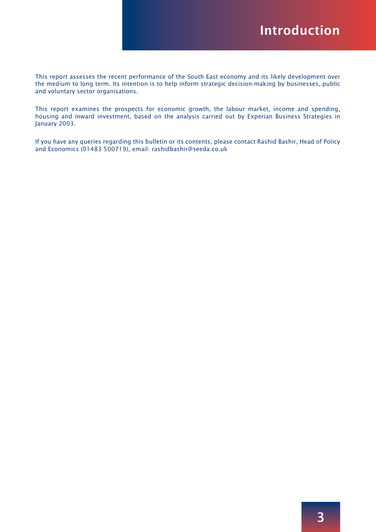This report assesses the recent performance of the South East economy and its likely development over the medium to long term. Its intention is to help inform strategic decision-making by businesses, public and voluntary sector organisations.

This report examines the prospects for economic growth, the labour market, income and spending, housing and inward investment, based on the analysis carried out by Experian Business Strategies in January 2003.

If you have any queries regarding this bulletin or its contents, please contact Rashid Bashir, Head of Policy and Economics (01483 500719), email: rashidbashir@seeda.co.uk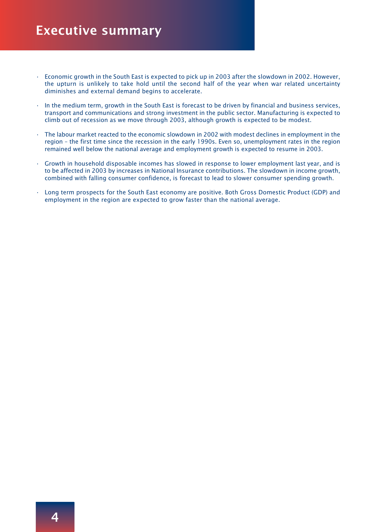## Executive summary

- Economic growth in the South East is expected to pick up in 2003 after the slowdown in 2002. However, the upturn is unlikely to take hold until the second half of the year when war related uncertainty diminishes and external demand begins to accelerate.
- In the medium term, growth in the South East is forecast to be driven by financial and business services, transport and communications and strong investment in the public sector. Manufacturing is expected to climb out of recession as we move through 2003, although growth is expected to be modest.
- The labour market reacted to the economic slowdown in 2002 with modest declines in employment in the region – the first time since the recession in the early 1990s. Even so, unemployment rates in the region remained well below the national average and employment growth is expected to resume in 2003.
- Growth in household disposable incomes has slowed in response to lower employment last year, and is to be affected in 2003 by increases in National Insurance contributions. The slowdown in income growth, combined with falling consumer confidence, is forecast to lead to slower consumer spending growth.
- Long term prospects for the South East economy are positive. Both Gross Domestic Product (GDP) and employment in the region are expected to grow faster than the national average.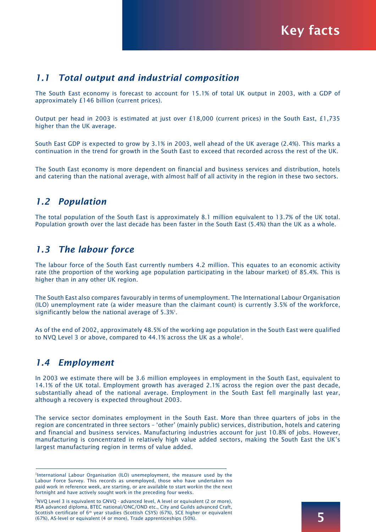Key facts

#### *1.1 Total output and industrial composition*

The South East economy is forecast to account for 15.1% of total UK output in 2003, with a GDP of approximately £146 billion (current prices).

Output per head in 2003 is estimated at just over £18,000 (current prices) in the South East, £1,735 higher than the UK average.

South East GDP is expected to grow by 3.1% in 2003, well ahead of the UK average (2.4%). This marks a continuation in the trend for growth in the South East to exceed that recorded across the rest of the UK.

The South East economy is more dependent on financial and business services and distribution, hotels and catering than the national average, with almost half of all activity in the region in these two sectors.

## *1.2 Population*

The total population of the South East is approximately 8.1 million equivalent to 13.7% of the UK total. Population growth over the last decade has been faster in the South East (5.4%) than the UK as a whole.

## *1.3 The labour force*

The labour force of the South East currently numbers 4.2 million. This equates to an economic activity rate (the proportion of the working age population participating in the labour market) of 85.4%. This is higher than in any other UK region.

The South East also compares favourably in terms of unemployment. The International Labour Organisation (ILO) unemployment rate (a wider measure than the claimant count) is currently 3.5% of the workforce, significantly below the national average of  $5.3\%$ <sup>1</sup>.

As of the end of 2002, approximately 48.5% of the working age population in the South East were qualified to NVQ Level 3 or above, compared to 44.1% across the UK as a whole<sup>2</sup>.

## *1.4 Employment*

In 2003 we estimate there will be 3.6 million employees in employment in the South East, equivalent to 14.1% of the UK total. Employment growth has averaged 2.1% across the region over the past decade, substantially ahead of the national average. Employment in the South East fell marginally last year, although a recovery is expected throughout 2003.

The service sector dominates employment in the South East. More than three quarters of jobs in the region are concentrated in three sectors – 'other' (mainly public) services, distribution, hotels and catering and financial and business services. Manufacturing industries account for just 10.8% of jobs. However, manufacturing is concentrated in relatively high value added sectors, making the South East the UK's largest manufacturing region in terms of value added.

<sup>&</sup>lt;sup>1</sup>International Labour Organisation (ILO) unemeployment, the measure used by the Labour Force Survey. This records as unemployed, those who have undertaken no paid work in reference week, are starting, or are available to start workin the the next fortnight and have actively sought work in the preceding four weeks.

 $2$ NVQ Level 3 is equivalent to GNVQ - advanced level, A level or equivalent (2 or more), RSA advanced diploma, BTEC national/ONC/OND etc., City and Guilds advanced Craft, Scottish certificate of 6<sup>th</sup> year studies (Scottish CSYS) (67%), SCE higher or equivalent (67%), AS-level or equivalent (4 or more), Trade apprenticeships (50%).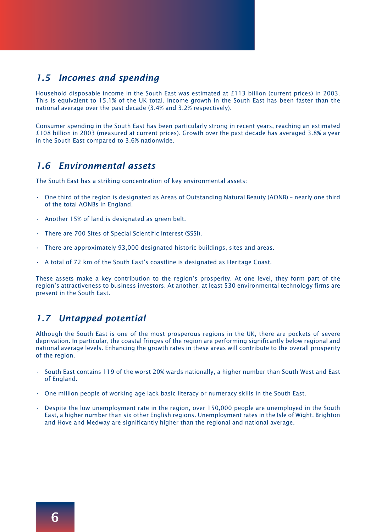## *1.5 Incomes and spending*

Household disposable income in the South East was estimated at £113 billion (current prices) in 2003. This is equivalent to 15.1% of the UK total. Income growth in the South East has been faster than the national average over the past decade (3.4% and 3.2% respectively).

Consumer spending in the South East has been particularly strong in recent years, reaching an estimated £108 billion in 2003 (measured at current prices). Growth over the past decade has averaged 3.8% a year in the South East compared to 3.6% nationwide.

#### *1.6 Environmental assets*

The South East has a striking concentration of key environmental assets:

- One third of the region is designated as Areas of Outstanding Natural Beauty (AONB) nearly one third of the total AONBs in England.
- Another 15% of land is designated as green belt.
- There are 700 Sites of Special Scientific Interest (SSSI).
- There are approximately 93,000 designated historic buildings, sites and areas.
- A total of 72 km of the South East's coastline is designated as Heritage Coast.

These assets make a key contribution to the region's prosperity. At one level, they form part of the region's attractiveness to business investors. At another, at least 530 environmental technology firms are present in the South East.

## *1.7 Untapped potential*

Although the South East is one of the most prosperous regions in the UK, there are pockets of severe deprivation. In particular, the coastal fringes of the region are performing significantly below regional and national average levels. Enhancing the growth rates in these areas will contribute to the overall prosperity of the region.

- South East contains 119 of the worst 20% wards nationally, a higher number than South West and East of England.
- One million people of working age lack basic literacy or numeracy skills in the South East.
- Despite the low unemployment rate in the region, over 150,000 people are unemployed in the South East, a higher number than six other English regions. Unemployment rates in the Isle of Wight, Brighton and Hove and Medway are significantly higher than the regional and national average.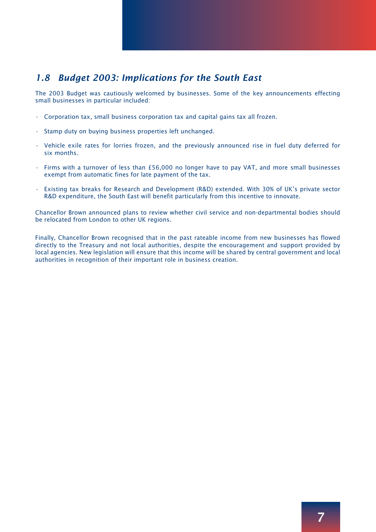## *1.8 Budget 2003: Implications for the South East*

The 2003 Budget was cautiously welcomed by businesses. Some of the key announcements effecting small businesses in particular included:

- Corporation tax, small business corporation tax and capital gains tax all frozen.
- Stamp duty on buying business properties left unchanged.
- Vehicle exile rates for lorries frozen, and the previously announced rise in fuel duty deferred for six months.
- Firms with a turnover of less than £56,000 no longer have to pay VAT, and more small businesses exempt from automatic fines for late payment of the tax.
- Existing tax breaks for Research and Development (R&D) extended. With 30% of UK's private sector R&D expenditure, the South East will benefit particularly from this incentive to innovate.

Chancellor Brown announced plans to review whether civil service and non-departmental bodies should be relocated from London to other UK regions.

Finally, Chancellor Brown recognised that in the past rateable income from new businesses has flowed directly to the Treasury and not local authorities, despite the encouragement and support provided by local agencies. New legislation will ensure that this income will be shared by central government and local authorities in recognition of their important role in business creation.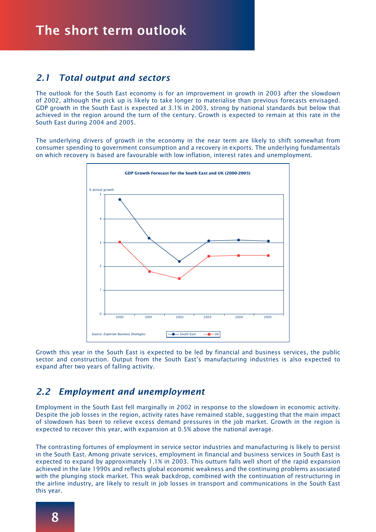#### *2.1 Total output and sectors*

The outlook for the South East economy is for an improvement in growth in 2003 after the slowdown of 2002, although the pick up is likely to take longer to materialise than previous forecasts envisaged. GDP growth in the South East is expected at 3.1% in 2003, strong by national standards but below that achieved in the region around the turn of the century. Growth is expected to remain at this rate in the South East during 2004 and 2005.

The underlying drivers of growth in the economy in the near term are likely to shift somewhat from consumer spending to government consumption and a recovery in exports. The underlying fundamentals on which recovery is based are favourable with low inflation, interest rates and unemployment.



Growth this year in the South East is expected to be led by financial and business services, the public sector and construction. Output from the South East's manufacturing industries is also expected to expand after two years of falling activity.

## *2.2 Employment and unemployment*

Employment in the South East fell marginally in 2002 in response to the slowdown in economic activity. Despite the job losses in the region, activity rates have remained stable, suggesting that the main impact of slowdown has been to relieve excess demand pressures in the job market. Growth in the region is expected to recover this year, with expansion at 0.5% above the national average.

The contrasting fortunes of employment in service sector industries and manufacturing is likely to persist in the South East. Among private services, employment in financial and business services in South East is expected to expand by approximately 1.1% in 2003. This outturn falls well short of the rapid expansion achieved in the late 1990s and reflects global economic weakness and the continuing problems associated with the plunging stock market. This weak backdrop, combined with the continuation of restructuring in the airline industry, are likely to result in job losses in transport and communications in the South East this year.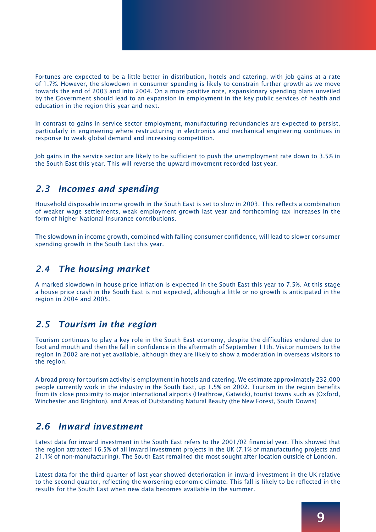Fortunes are expected to be a little better in distribution, hotels and catering, with job gains at a rate of 1.7%. However, the slowdown in consumer spending is likely to constrain further growth as we move towards the end of 2003 and into 2004. On a more positive note, expansionary spending plans unveiled by the Government should lead to an expansion in employment in the key public services of health and education in the region this year and next.

In contrast to gains in service sector employment, manufacturing redundancies are expected to persist, particularly in engineering where restructuring in electronics and mechanical engineering continues in response to weak global demand and increasing competition.

Job gains in the service sector are likely to be sufficient to push the unemployment rate down to 3.5% in the South East this year. This will reverse the upward movement recorded last year.

## *2.3 Incomes and spending*

Household disposable income growth in the South East is set to slow in 2003. This reflects a combination of weaker wage settlements, weak employment growth last year and forthcoming tax increases in the form of higher National Insurance contributions.

The slowdown in income growth, combined with falling consumer confidence, will lead to slower consumer spending growth in the South East this year.

## *2.4 The housing market*

A marked slowdown in house price inflation is expected in the South East this year to 7.5%. At this stage a house price crash in the South East is not expected, although a little or no growth is anticipated in the region in 2004 and 2005.

## *2.5 Tourism in the region*

Tourism continues to play a key role in the South East economy, despite the difficulties endured due to foot and mouth and then the fall in confidence in the aftermath of September 11th. Visitor numbers to the region in 2002 are not yet available, although they are likely to show a moderation in overseas visitors to the region.

A broad proxy for tourism activity is employment in hotels and catering. We estimate approximately 232,000 people currently work in the industry in the South East, up 1.5% on 2002. Tourism in the region benefits from its close proximity to major international airports (Heathrow, Gatwick), tourist towns such as (Oxford, Winchester and Brighton), and Areas of Outstanding Natural Beauty (the New Forest, South Downs)

## *2.6 Inward investment*

Latest data for inward investment in the South East refers to the 2001/02 financial year. This showed that the region attracted 16.5% of all inward investment projects in the UK (7.1% of manufacturing projects and 21.1% of non-manufacturing). The South East remained the most sought after location outside of London.

Latest data for the third quarter of last year showed deterioration in inward investment in the UK relative to the second quarter, reflecting the worsening economic climate. This fall is likely to be reflected in the results for the South East when new data becomes available in the summer.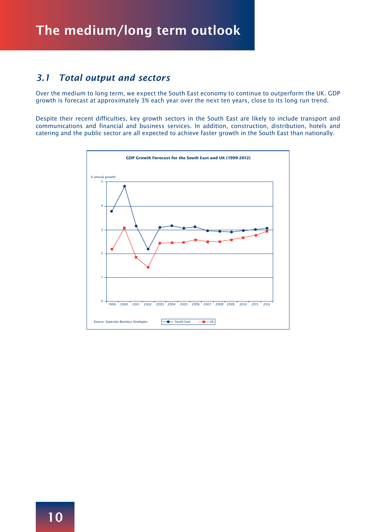## *3.1 Total output and sectors*

Over the medium to long term, we expect the South East economy to continue to outperform the UK. GDP growth is forecast at approximately 3% each year over the next ten years, close to its long run trend.

Despite their recent difficulties, key growth sectors in the South East are likely to include transport and communications and financial and business services. In addition, construction, distribution, hotels and catering and the public sector are all expected to achieve faster growth in the South East than nationally.

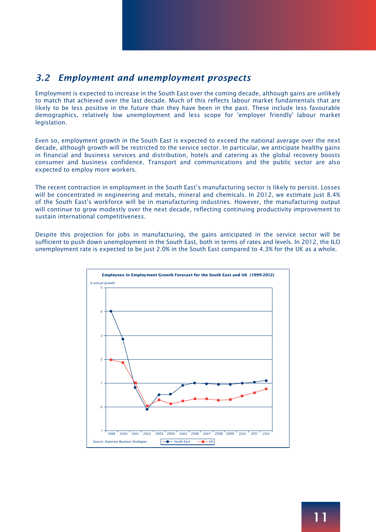## *3.2 Employment and unemployment prospects*

Employment is expected to increase in the South East over the coming decade, although gains are unlikely to match that achieved over the last decade. Much of this reflects labour market fundamentals that are likely to be less positive in the future than they have been in the past. These include less favourable demographics, relatively low unemployment and less scope for 'employer friendly' labour market legislation.

Even so, employment growth in the South East is expected to exceed the national average over the next decade, although growth will be restricted to the service sector. In particular, we anticipate healthy gains in financial and business services and distribution, hotels and catering as the global recovery boosts consumer and business confidence. Transport and communications and the public sector are also expected to employ more workers.

The recent contraction in employment in the South East's manufacturing sector is likely to persist. Losses will be concentrated in engineering and metals, mineral and chemicals. In 2012, we estimate just 8.4% of the South East's workforce will be in manufacturing industries. However, the manufacturing output will continue to grow modestly over the next decade, reflecting continuing productivity improvement to sustain international competitiveness.

Despite this projection for jobs in manufacturing, the gains anticipated in the service sector will be sufficient to push down unemployment in the South East, both in terms of rates and levels. In 2012, the ILO unemployment rate is expected to be just 2.0% in the South East compared to 4.3% for the UK as a whole.